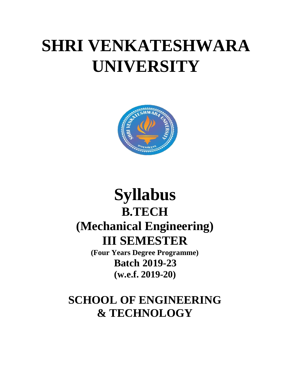# **SHRI VENKATESHWARA UNIVERSITY**



# **Syllabus B.TECH (Mechanical Engineering) III SEMESTER**

**(Four Years Degree Programme) Batch 2019-23 (w.e.f. 2019-20)**

## **SCHOOL OF ENGINEERING & TECHNOLOGY**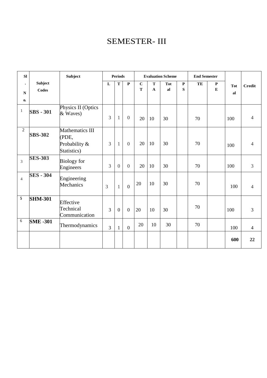### SEMESTER- III

| <b>SI</b>                |                                | Subject                                 | <b>Periods</b> |                |                | <b>Evaluation Scheme</b> |                           |           |                   | <b>End Semester</b> |        |                  |                |
|--------------------------|--------------------------------|-----------------------------------------|----------------|----------------|----------------|--------------------------|---------------------------|-----------|-------------------|---------------------|--------|------------------|----------------|
| $\bullet$<br>$\mathbf N$ | <b>Subject</b><br><b>Codes</b> |                                         | L              | ${\bf T}$      | $\mathbf P$    | $\bf C$<br>T             | ${\bf T}$<br>$\mathbf{A}$ | Tot<br>al | $\mathbf{P}$<br>S | TE                  | P<br>E | <b>Tot</b><br>al | <b>Credit</b>  |
| $\mathbf{0}$             |                                | Physics II (Optics                      |                |                |                |                          |                           |           |                   |                     |        |                  |                |
| $\mathbf{1}$             | <b>SBS - 301</b>               | & Waves)                                | 3              | $\mathbf{1}$   | $\overline{0}$ | 20                       | 10                        | 30        |                   | 70                  |        | 100              | $\overline{4}$ |
| $\overline{2}$           | <b>SBS-302</b>                 | Mathematics III<br>(PDE,                |                |                |                |                          |                           |           |                   |                     |        |                  |                |
|                          |                                | Probability &<br>Statistics)            | 3              | $\mathbf{1}$   | $\theta$       | 20                       | 10                        | 30        |                   | 70                  |        | 100              | 4              |
| $\overline{3}$           | <b>SES-303</b>                 | <b>Biology</b> for<br>Engineers         | 3              | $\overline{0}$ | $\overline{0}$ | 20                       | 10                        | 30        |                   | 70                  |        | 100              | $\mathfrak{Z}$ |
| $\overline{4}$           | <b>SES - 304</b>               | Engineering<br>Mechanics                | 3              | $\mathbf{1}$   | $\overline{0}$ | 20                       | 10                        | 30        |                   | 70                  |        | 100              | $\overline{4}$ |
| 5                        | <b>SHM-301</b>                 | Effective<br>Technical<br>Communication | 3              | $\mathbf{0}$   | $\mathbf{0}$   | 20                       | 10                        | 30        |                   | 70                  |        | 100              | 3              |
| $\sqrt{6}$               | <b>SME -301</b>                | Thermodynamics                          | 3              | $\mathbf{1}$   | $\mathbf{0}$   | 20                       | 10                        | 30        |                   | 70                  |        | 100              | $\overline{4}$ |
|                          |                                |                                         |                |                |                |                          |                           |           |                   |                     |        | 600              | 22             |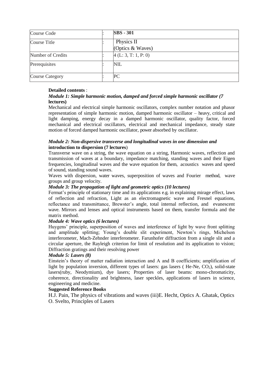| Course Code            | <b>SBS</b> - 301                 |
|------------------------|----------------------------------|
| Course Title           | Physics II<br>(Optics $&$ Waves) |
| Number of Credits      | 4(L: 3, T: 1, P: 0)              |
| Prerequisites          | NIL                              |
| <b>Course Category</b> | PС                               |

#### **Detailed contents** :

#### *Module 1: Simple harmonic motion, damped and forced simple harmonic oscillator (7* **lectures)**

Mechanical and electrical simple harmonic oscillators, complex number notation and phasor representation of simple harmonic motion, damped harmonic oscillator – heavy, critical and light damping, energy decay in a damped harmonic oscillator, quality factor, forced mechanical and electrical oscillators, electrical and mechanical impedance, steady state motion of forced damped harmonic oscillator, power absorbed by oscillator.

#### *Module 2: Non-dispersive transverse and longitudinal waves in one dimension and* **introduction to dispersion (7 lectures**)

Transverse wave on a string, the wave equation on a string, Harmonic waves, reflection and transmission of waves at a boundary, impedance matching, standing waves and their Eigen frequencies, longitudinal waves and the wave equation for them, acoustics waves and speed of sound, standing sound waves.

Waves with dispersion, water waves, superposition of waves and Fourier method, wave groups and group velocity.

#### *Module 3: The propagation of light and geometric optics (10 lectures)*

Fermat's principle of stationary time and its applications e.g. in explaining mirage effect, laws of reflection and refraction, Light as an electromagnetic wave and Fresnel equations, reflectance and transmittance, Brewster's angle, total internal reflection, and evanescent wave. Mirrors and lenses and optical instruments based on them, transfer formula and the matrix method.

#### *Module 4: Wave optics (6 lectures)*

Huygens' principle, superposition of waves and interference of light by wave front splitting and amplitude splitting; Young's double slit experiment, Newton's rings, Michelson interferometer, Mach-Zehnder interferometer. Farunhofer diffraction from a single slit and a circular aperture, the Rayleigh criterion for limit of resolution and its application to vision; Diffraction gratings and their resolving power

#### *Module 5: Lasers (8)*

Einstein's theory of matter radiation interaction and A and B coefficients; amplification of light by population inversion, different types of lasers: gas lasers ( $He$ -Ne,  $CO<sub>2</sub>$ ), solid-state lasers(ruby, Neodymium), dye lasers; Properties of laser beams: mono-chromaticity, coherence, directionality and brightness, laser speckles, applications of lasers in science, engineering and medicine.

#### **Suggested Reference Books**

H.J. Pain, The physics of vibrations and waves (iii)E. Hecht, Optics A. Ghatak, Optics O. Svelto, Principles of Lasers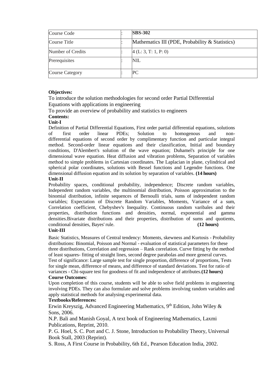| Course Code            | <b>SBS-302</b>                                  |
|------------------------|-------------------------------------------------|
| Course Title           | Mathematics III (PDE, Probability & Statistics) |
| Number of Credits      | 4(L: 3, T: 1, P: 0)                             |
| Prerequisites          | NIL                                             |
| <b>Course Category</b> | PС                                              |

#### **Objectives:**

To introduce the solution methodologies for second order Partial Differential Equations with applications in engineering

To provide an overview of probability and statistics to engineers

### **Contents:**

#### **Unit-I**

Definition of Partial Differential Equations, First order partial differential equations, solutions of first order linear PDEs; Solution to homogenous and nondifferential equations of second order by complimentary function and particular integral method. Second-order linear equations and their classification, Initial and boundary conditions, D'Alembert's solution of the wave equation; Duhamel's principle for one dimensional wave equation. Heat diffusion and vibration problems, Separation of variables method to simple problems in Cartesian coordinates. The Laplacian in plane, cylindrical and spherical polar coordinates, solutions with Bessel functions and Legendre functions. One dimensional diffusion equation and its solution by separation of variables. **(14 hours)**

#### **Unit-II**

Probability spaces, conditional probability, independence; Discrete random variables, Independent random variables, the multinomial distribution, Poisson approximation to the binomial distribution, infinite sequences of Bernoulli trials, sums of independent random variables; Expectation of Discrete Random Variables, Moments, Variance of a sum, Correlation coefficient, Chebyshev's Inequality. Continuous random varibales and their properties, distribution functions and densities, normal, exponential and gamma densities.Bivariate distributions and their properties, distribution of sums and quotients, conditional densities, Bayes' rule. **(12 hours)**

#### **Unit-III**

Basic Statistics, Measures of Central tendency: Moments, skewness and Kurtosis - Probability distributions: Binomial, Poisson and Normal - evaluation of statistical parameters for these three distributions, Correlation and regression – Rank correlation. Curve fitting by the method of least squares- fitting of straight lines, second degree parabolas and more general curves. Test of significance: Large sample test for single proportion, difference of proportions, Tests for single mean, difference of means, and difference of standard deviations. Test for ratio of variances - Chi-square test for goodness of fit and independence of attributes.**(12 hours) Course Outcomes**:

Upon completion of this course, students will be able to solve field problems in engineering involving PDEs. They can also formulate and solve problems involving random variables and apply statistical methods for analysing experimental data.

#### **Textbooks/References:**

Erwin Kreyszig, Advanced Engineering Mathematics,  $9<sup>th</sup>$  Edition, John Wiley & Sons, 2006.

N.P. Bali and Manish Goyal, A text book of Engineering Mathematics, Laxmi Publications, Reprint, 2010.

P. G. Hoel, S. C. Port and C. J. Stone, Introduction to Probability Theory, Universal Book Stall, 2003 (Reprint).

S. Ross, A First Course in Probability, 6th Ed., Pearson Education India, 2002.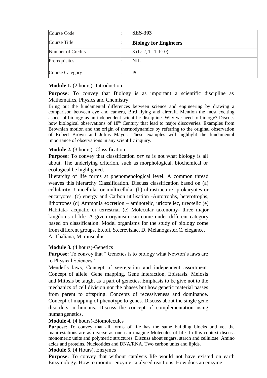| Course Code            | <b>SES-303</b>               |
|------------------------|------------------------------|
| Course Title           | <b>Biology for Engineers</b> |
| Number of Credits      | 3(L: 2, T: 1, P: 0)          |
| Prerequisites          | NIL                          |
| <b>Course Category</b> | PС                           |

#### **Module 1.** (2 hours)- Introduction

**Purpose:** To convey that Biology is as important a scientific discipline as Mathematics, Physics and Chemistry

Bring out the fundamental differences between science and engineering by drawing a comparison between eye and camera, Bird flying and aircraft. Mention the most exciting aspect of biology as an independent scientific discipline. Why we need to biology? Discuss how biological observations of 18<sup>th</sup> Century that lead to major discoveries. Examples from Brownian motion and the origin of thermodynamics by referring to the original observation of Robert Brown and Julius Mayor. These examples will highlight the fundamental importance of observations in any scientific inquiry.

#### **Module 2.** (3 hours)- Classification

**Purpose:** To convey that classification *per se* is not what biology is all about. The underlying criterion, such as morphological, biochemical or ecological be highlighted.

Hierarchy of life forms at phenomenological level. A common thread weaves this hierarchy Classification. Discuss classification based on (a) cellularity- Unicellular or multicellular (b) ultrastructure- prokaryotes or eucaryotes. (c) energy and Carbon utilisation -Autotrophs, heterotrophs, lithotropes (d) Ammonia excretion – aminotelic, uricoteliec, ureotelic (e) Habitata- acquatic or terrestrial (e) Molecular taxonomy- three major kingdoms of life. A given organism can come under different category based on classification. Model organisms for the study of biology come from different groups. E.coli, S.cerevisiae, D. Melanogaster,C. elegance, A. Thaliana, M. musculus

#### **Module 3.** (4 hours)-Genetics

**Purpose:** To convey that " Genetics is to biology what Newton's laws are to Physical Sciences"

Mendel's laws, Concept of segregation and independent assortment. Concept of allele. Gene mapping, Gene interaction, Epistasis. Meiosis and Mitosis be taught as a part of genetics. Emphasis to be give not to the mechanics of cell division nor the phases but how genetic material passes from parent to offspring. Concepts of recessiveness and dominance. Concept of mapping of phenotype to genes. Discuss about the single gene disorders in humans. Discuss the concept of complementation using human genetics.

#### **Module 4.** (4 hours)-Biomolecules

**Purpose**: To convey that all forms of life has the same building blocks and yet the manifestations are as diverse as one can imagine Molecules of life. In this context discuss monomeric units and polymeric structures. Discuss about sugars, starch and cellulose. Amino acids and proteins. Nucleotides and DNA/RNA. Two carbon units and lipids.

#### **Module 5.** (4 Hours). Enzymes

**Purpose:** To convey that without catalysis life would not have existed on earth Enzymology: How to monitor enzyme catalysed reactions. How does an enzyme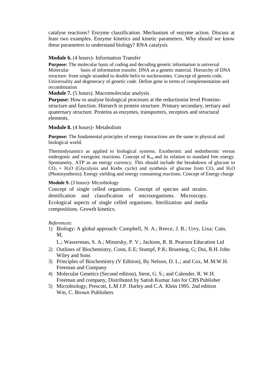catalyse reactions? Enzyme classification. Mechanism of enzyme action. Discuss at least two examples. Enzyme kinetics and kinetic parameters. Why should we know these parameters to understand biology? RNA catalysis

#### **Module 6.** (4 hours)- Information Transfer

**Purpose:** The molecular basis of coding and decoding genetic information is universal Molecular basis of information transfer. DNA as a genetic material. Hierarchy of DNA structure- from single stranded to double helix to nucleosomes. Concept of geneticcode. Universality and degeneracy of genetic code. Define gene in terms of complementation and recombination

**Module 7.** (5 hours). Macromolecular analysis

**Purpose:** How to analyse biological processes at the reductionist level Proteinsstructure and function. Hierarch in protein structure. Primary secondary, tertiary and quaternary structure. Proteins as enzymes, transporters, receptors and structural elements.

#### **Module 8.** (4 hours)- Metabolism

Purpose: The fundamental principles of energy transactions are the same in physical and biological world.

Thermodynamics as applied to biological systems. Exothermic and endothermic versus endergonic and exergoinc reactions. Concept of  $K_{eq}$  and its relation to standard free energy. Spontaneity. ATP as an energy currency. This should include the breakdown of glucose to  $CO<sub>2</sub> + H<sub>2</sub>O$  (Glycolysis and Krebs cycle) and synthesis of glucose from  $CO<sub>2</sub>$  and  $H<sub>2</sub>O$ (Photosynthesis). Energy yielding and energy consuming reactions. Concept of Energy charge

#### **Module 9.** (3 hours)- Microbiology

Concept of single celled organisms. Concept of species and strains. dentification and classification of microorganisms. Microscopy. Ecological aspects of single celled organisms. Sterilization and media compositions. Growth kinetics.

#### *References:*

1) Biology: A global approach: Campbell, N. A.; Reece, J. B.; Urry, Lisa; Cain, M,

L.; Wasserman, S. A.; Minorsky, P. V.; Jackson, R. B. Pearson Education Ltd

- 2) Outlines of Biochemistry, Conn, E.E; Stumpf, P.K; Bruening, G; Doi, R.H.John Wiley and Sons
- 3) Principles of Biochemistry (V Edition), By Nelson, D. L.; and Cox, M.M.W.H. Freeman and Company
- 4) Molecular Genetics (Second edition), Stent, G. S.; and Calender, R. W.H. Freeman and company, Distributed by Satish Kumar Jain for CBS Publisher
- 5) Microbiology, Prescott, L.M J.P. Harley and C.A. Klein 1995. 2nd edition Wm, C. Brown Publishers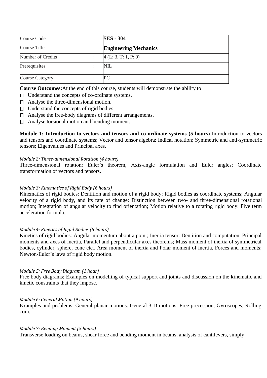| Course Code            | <b>SES - 304</b>             |
|------------------------|------------------------------|
| Course Title           | <b>Engineering Mechanics</b> |
| Number of Credits      | 4(L: 3, T: 1, P: 0)          |
| Prerequisites          | <b>NIL</b>                   |
| <b>Course Category</b> | PС                           |

**Course Outcomes:**At the end of this course, students will demonstrate the ability to

- □ Understand the concepts of co-ordinate systems.
- □ Analyse the three-dimensional motion.
- $\Box$  Understand the concepts of rigid bodies.
- Analyse the free-body diagrams of different arrangements.
- $\Box$  Analyse torsional motion and bending moment.

**Module 1: Introduction to vectors and tensors and co-ordinate systems (5 hours)** Introduction to vectors and tensors and coordinate systems; Vector and tensor algebra; Indical notation; Symmetric and anti-symmetric tensors; Eigenvalues and Principal axes.

#### *Module 2: Three-dimensional Rotation (4 hours)*

Three-dimensional rotation: Euler's theorem, Axis-angle formulation and Euler angles; Coordinate transformation of vectors and tensors.

#### *Module 3: Kinematics of Rigid Body (6 hours)*

Kinematics of rigid bodies: Dentition and motion of a rigid body; Rigid bodies as coordinate systems; Angular velocity of a rigid body, and its rate of change; Distinction between two- and three-dimensional rotational motion; Integration of angular velocity to find orientation; Motion relative to a rotating rigid body: Five term acceleration formula.

#### *Module 4: Kinetics of Rigid Bodies (5 hours)*

Kinetics of rigid bodies: Angular momentum about a point; Inertia tensor: Dentition and computation, Principal moments and axes of inertia, Parallel and perpendicular axes theorems; Mass moment of inertia of symmetrical bodies, cylinder, sphere, cone etc., Area moment of inertia and Polar moment of inertia, Forces and moments; Newton-Euler's laws of rigid body motion.

#### *Module 5: Free Body Diagram (1 hour)*

Free body diagrams; Examples on modelling of typical support and joints and discussion on the kinematic and kinetic constraints that they impose.

#### *Module 6: General Motion (9 hours)*

Examples and problems. General planar motions. General 3-D motions. Free precession, Gyroscopes, Rolling coin.

#### *Module 7: Bending Moment (5 hours)*

Transverse loading on beams, shear force and bending moment in beams, analysis of cantilevers, simply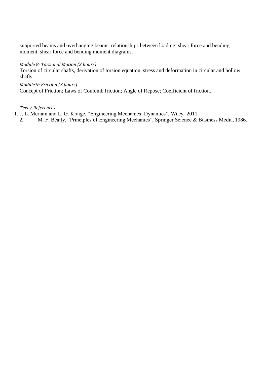supported beams and overhanging beams, relationships between loading, shear force and bending moment, shear force and bending moment diagrams.

#### *Module 8: Torsional Motion (2 hours)*

Torsion of circular shafts, derivation of torsion equation, stress and deformation in circular and hollow shafts.

*Module 9: Friction (3 hours)* Concept of Friction; Laws of Coulomb friction; Angle of Repose; Coefficient of friction.

#### *Text / References:*

- 1. J. L. Meriam and L. G. Kraige, "Engineering Mechanics: Dynamics", Wiley, 2011.
- 2. M. F. Beatty, "Principles of Engineering Mechanics", Springer Science & Business Media, 1986.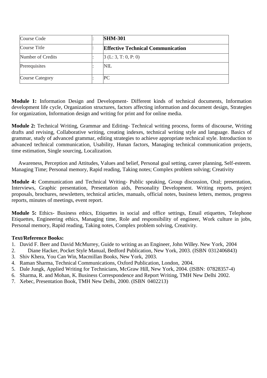| Course Code            | <b>SHM-301</b>                           |
|------------------------|------------------------------------------|
| Course Title           | <b>Effective Technical Communication</b> |
| Number of Credits      | [3 (L: 3, T: 0, P: 0)]                   |
| Prerequisites          | NIL                                      |
| <b>Course Category</b> | PС                                       |

**Module 1:** Information Design and Development- Different kinds of technical documents, Information development life cycle, Organization structures, factors affecting information and document design, Strategies for organization, Information design and writing for print and for online media.

**Module 2:** Technical Writing, Grammar and Editing- Technical writing process, forms of discourse, Writing drafts and revising, Collaborative writing, creating indexes, technical writing style and language. Basics of grammar, study of advanced grammar, editing strategies to achieve appropriate technical style. Introduction to advanced technical communication, Usability, Hunan factors, Managing technical communication projects, time estimation, Single sourcing, Localization.

Awareness, Perception and Attitudes, Values and belief, Personal goal setting, career planning, Self-esteem. Managing Time; Personal memory, Rapid reading, Taking notes; Complex problem solving; Creativity

**Module 4:** Communication and Technical Writing- Public speaking, Group discussion, Oral; presentation, Interviews, Graphic presentation, Presentation aids, Personality Development. Writing reports, project proposals, brochures, newsletters, technical articles, manuals, official notes, business letters, memos, progress reports, minutes of meetings, event report.

**Module 5:** Ethics- Business ethics, Etiquettes in social and office settings, Email etiquettes, Telephone Etiquettes, Engineering ethics, Managing time, Role and responsibility of engineer, Work culture in jobs, Personal memory, Rapid reading, Taking notes, Complex problem solving, Creativity.

#### **Text/Reference Books:**

- 1. David F. Beer and David McMurrey, Guide to writing as an Engineer, John Willey. New York, 2004
- 2. Diane Hacker, Pocket Style Manual, Bedford Publication, New York, 2003. (ISBN 0312406843)
- 3. Shiv Khera, You Can Win, Macmillan Books, New York, 2003.
- 4. Raman Sharma, Technical Communications, Oxford Publication, London, 2004.
- 5. Dale Jungk, Applied Writing for Technicians, McGraw Hill, New York, 2004. (ISBN: 07828357-4)
- 6. Sharma, R. and Mohan, K. Business Correspondence and Report Writing, TMH New Delhi 2002.
- 7. Xebec, Presentation Book, TMH New Delhi, 2000. (ISBN 0402213)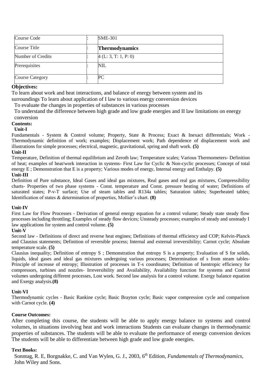| Course Code            | <b>SME-301</b>        |
|------------------------|-----------------------|
| Course Title           | <b>Thermodynamics</b> |
| Number of Credits      | 4(L: 3, T: 1, P: 0)   |
| Prerequisites          | <b>NIL</b>            |
| <b>Course Category</b> | PС                    |

#### **Objectives:**

To learn about work and heat interactions, and balance of energy between system and its

surroundings To learn about application of I law to various energy conversion devices

To evaluate the changes in properties of substances in various processes

To understand the difference between high grade and low grade energies and II law limitations on energy conversion

#### **Contents:**

#### **Unit-I**

Fundamentals - System & Control volume; Property, State & Process; Exact & Inexact differentials; Work - Thermodynamic definition of work; examples; Displacement work; Path dependence of displacement work and illustrations for simple processes; electrical, magnetic, gravitational, spring and shaft work. **(5)**

#### **Unit-II**

Temperature, Definition of thermal equilibrium and Zeroth law; Temperature scales; Various Thermometers- Definition of heat; examples of heat/work interaction in systems- First Law for Cyclic & Non-cyclic processes; Concept of total energy E ; Demonstration that E is a property; Various modes of energy, Internal energy and Enthalpy. **(5)**

#### **Unit-III**

Definition of Pure substance, Ideal Gases and ideal gas mixtures, Real gases and real gas mixtures, Compressibility charts- Properties of two phase systems - Const. temperature and Const. pressure heating of water; Definitions of saturated states; P-v-T surface; Use of steam tables and R134a tables; Saturation tables; Superheated tables; Identification of states & determination of properties, Mollier's chart. **(8)**

#### **Unit-IV**

First Law for Flow Processes - Derivation of general energy equation for a control volume; Steady state steady flow processes including throttling; Examples of steady flow devices; Unsteady processes; examples of steady and unsteady I law applications for system and control volume. **(5)**

#### **Unit-V**

Second law - Definitions of direct and reverse heat engines; Definitions of thermal efficiency and COP; Kelvin-Planck and Clausius statements; Definition of reversible process; Internal and external irreversibility; Carnot cycle; Absolute temperature scale. **(5)**

Clausius inequality; Definition of entropy S ; Demonstration that entropy S is a property; Evaluation of S for solids, liquids, ideal gases and ideal gas mixtures undergoing various processes; Determination of s from steam tables-Principle of increase of entropy; Illustration of processes in T-s coordinates; Definition of Isentropic efficiency for compressors, turbines and nozzles- Irreversibility and Availability, Availability function for systems and Control volumes undergoing different processes, Lost work. Second law analysis for a control volume. Exergy balance equation and Exergy analysis.**(8)**

#### **Unit-VI**

Thermodynamic cycles - Basic Rankine cycle; Basic Brayton cycle; Basic vapor compression cycle and comparison with Carnot cycle. **(4)**

#### **Course Outcomes:**

After completing this course, the students will be able to apply energy balance to systems and control volumes, in situations involving heat and work interactions Students can evaluate changes in thermodynamic properties of substances. The students will be able to evaluate the performance of energy conversion devices The students will be able to differentiate between high grade and low grade energies.

#### **Text Books:**

Sonntag, R. E, Borgnakke, C. and Van Wylen, G. J., 2003, 6th Edition, *Fundamentals of Thermodynamics*, John Wiley and Sons.